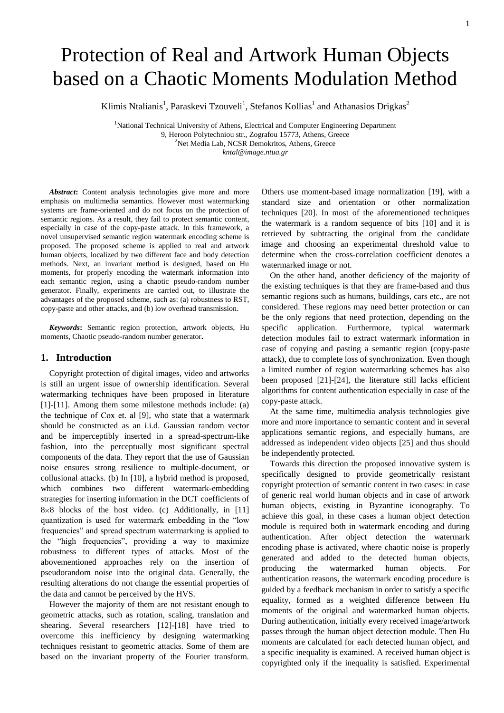# Protection of Real and Artwork Human Objects based on a Chaotic Moments Modulation Method

Klimis Ntalianis<sup>1</sup>, Paraskevi Tzouveli<sup>1</sup>, Stefanos Kollias<sup>1</sup> and Athanasios Drigkas<sup>2</sup>

<sup>1</sup>National Technical University of Athens, Electrical and Computer Engineering Department 9, Heroon Polytechniou str., Zografou 15773, Athens, Greece <sup>2</sup>Net Media Lab, NCSR Demokritos, Athens, Greece *kntal@image.ntua.gr*

*Abstract***:** Content analysis technologies give more and more emphasis on multimedia semantics. However most watermarking systems are frame-oriented and do not focus on the protection of semantic regions. As a result, they fail to protect semantic content, especially in case of the copy-paste attack. In this framework, a novel unsupervised semantic region watermark encoding scheme is proposed. The proposed scheme is applied to real and artwork human objects, localized by two different face and body detection methods. Next, an invariant method is designed, based on Hu moments, for properly encoding the watermark information into each semantic region, using a chaotic pseudo-random number generator. Finally, experiments are carried out, to illustrate the advantages of the proposed scheme, such as: (a) robustness to RST, copy-paste and other attacks, and (b) low overhead transmission.

*Keywords***:** Semantic region protection, artwork objects, Hu moments, Chaotic pseudo-random number generator**.**

#### **1. Introduction**

Copyright protection of digital images, video and artworks is still an urgent issue of ownership identification. Several watermarking techniques have been proposed in literature [\[1\]](#page-8-0)[-\[11\].](#page-8-1) Among them some milestone methods include: (a) the technique of  $Cox$  et. al [\[9\],](#page-8-2) who state that a watermark should be constructed as an i.i.d. Gaussian random vector and be imperceptibly inserted in a spread-spectrum-like fashion, into the perceptually most significant spectral components of the data. They report that the use of Gaussian noise ensures strong resilience to multiple-document, or collusional attacks. (b) In [\[10\],](#page-8-3) a hybrid method is proposed, which combines two different watermark-embedding strategies for inserting information in the DCT coefficients of  $8 \times 8$  blocks of the host video. (c) Additionally, in [\[11\]](#page-8-1) quantization is used for watermark embedding in the "low frequencies" and spread spectrum watermarking is applied to the "high frequencies", providing a way to maximize robustness to different types of attacks. Most of the abovementioned approaches rely on the insertion of pseudorandom noise into the original data. Generally, the resulting alterations do not change the essential properties of the data and cannot be perceived by the HVS.

However the majority of them are not resistant enough to geometric attacks, such as rotation, scaling, translation and shearing. Several researchers [\[12\]](#page-8-4)[-\[18\]](#page-8-5) have tried to overcome this inefficiency by designing watermarking techniques resistant to geometric attacks. Some of them are based on the invariant property of the Fourier transform.

Others use moment-based image normalization [\[19\],](#page-8-6) with a standard size and orientation or other normalization techniques [\[20\].](#page-8-7) In most of the aforementioned techniques the watermark is a random sequence of bits [\[10\]](#page-8-3) and it is retrieved by subtracting the original from the candidate image and choosing an experimental threshold value to determine when the cross-correlation coefficient denotes a watermarked image or not.

On the other hand, another deficiency of the majority of the existing techniques is that they are frame-based and thus semantic regions such as humans, buildings, cars etc., are not considered. These regions may need better protection or can be the only regions that need protection, depending on the specific application. Furthermore, typical watermark detection modules fail to extract watermark information in case of copying and pasting a semantic region (copy-paste attack), due to complete loss of synchronization. Even though a limited number of region watermarking schemes has also been proposed [\[21\]](#page-8-8)[-\[24\],](#page-8-9) the literature still lacks efficient algorithms for content authentication especially in case of the copy-paste attack.

At the same time, multimedia analysis technologies give more and more importance to semantic content and in several applications semantic regions, and especially humans, are addressed as independent video objects [\[25\]](#page-8-10) and thus should be independently protected.

Towards this direction the proposed innovative system is specifically designed to provide geometrically resistant copyright protection of semantic content in two cases: in case of generic real world human objects and in case of artwork human objects, existing in Byzantine iconography. To achieve this goal, in these cases a human object detection module is required both in watermark encoding and during authentication. After object detection the watermark encoding phase is activated, where chaotic noise is properly generated and added to the detected human objects, producing the watermarked human objects. For authentication reasons, the watermark encoding procedure is guided by a feedback mechanism in order to satisfy a specific equality, formed as a weighted difference between Hu moments of the original and watermarked human objects. During authentication, initially every received image/artwork passes through the human object detection module. Then Hu moments are calculated for each detected human object, and a specific inequality is examined. A received human object is copyrighted only if the inequality is satisfied. Experimental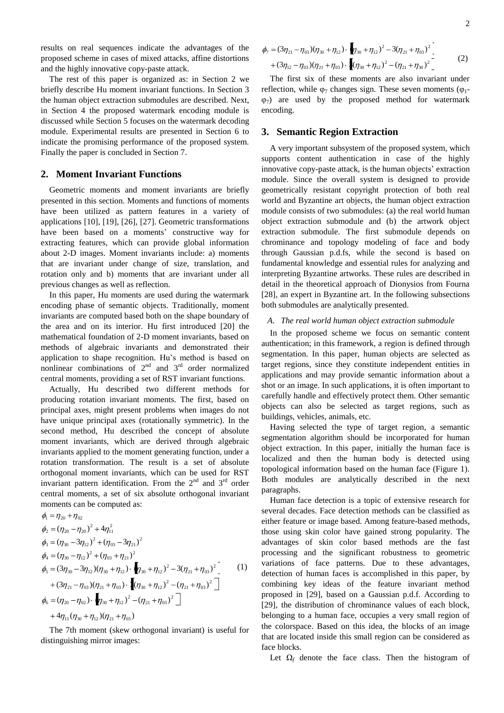results on real sequences indicate the advantages of the proposed scheme in cases of mixed attacks, affine distortions and the highly innovative copy-paste attack.

The rest of this paper is organized as: in Section 2 we briefly describe Hu moment invariant functions. In Section 3 the human object extraction submodules are described. Next, in Section 4 the proposed watermark encoding module is discussed while Section 5 focuses on the watermark decoding module. Experimental results are presented in Section 6 to indicate the promising performance of the proposed system. Finally the paper is concluded in Section 7.

## **2. Moment Invariant Functions**

Geometric moments and moment invariants are briefly presented in this section. Moments and functions of moments have been utilized as pattern features in a variety of applications [\[10\],](#page-8-3) [\[19\],](#page-8-6) [\[26\],](#page-8-11) [\[27\].](#page-8-12) Geometric transformations have been based on a moments' constructive way for extracting features, which can provide global information about 2-D images. Moment invariants include: a) moments that are invariant under change of size, translation, and rotation only and b) moments that are invariant under all previous changes as well as reflection.

In this paper, Hu moments are used during the watermark encoding phase of semantic objects. Traditionally, moment invariants are computed based both on the shape boundary of the area and on its interior. Hu first introduced [\[20\]](#page-8-7) the mathematical foundation of 2-D moment invariants, based on methods of algebraic invariants and demonstrated their application to shape recognition. Hu's method is based on nonlinear combinations of  $2<sup>nd</sup>$  and  $3<sup>rd</sup>$  order normalized central moments, providing a set of RST invariant functions.

Actually, Hu described two different methods for producing rotation invariant moments. The first, based on principal axes, might present problems when images do not have unique principal axes (rotationally symmetric). In the second method, Hu described the concept of absolute moment invariants, which are derived through algebraic invariants applied to the moment generating function, under a rotation transformation. The result is a set of absolute orthogonal moment invariants, which can be used for RST invariant pattern identification. From the  $2<sup>nd</sup>$  and  $3<sup>rd</sup>$  order central moments, a set of six absolute orthogonal invariant moments can be computed as:

$$
\phi_1 = \eta_{20} + \eta_{02}
$$
\n
$$
\phi_2 = (\eta_{20} - \eta_{20})^2 + 4\eta_{11}^2
$$
\n
$$
\phi_3 = (\eta_{30} - 3\eta_{12})^2 + (\eta_{03} - 3\eta_{21})^2
$$
\n
$$
\phi_4 = (\eta_{30} - \eta_{12})^2 + (\eta_{03} + \eta_{21})^2
$$
\n
$$
\phi_5 = (3\eta_{30} - 3\eta_{12})(\eta_{30} + \eta_{12}) \cdot \eta_{30} + \eta_{12})^2 - 3(\eta_{21} + \eta_{03})^2 - (1)
$$
\n
$$
+ (3\eta_{21} - \eta_{03})(\eta_{21} + \eta_{03}) \cdot \eta_{(30} + \eta_{12})^2 - (\eta_{21} + \eta_{03})^2
$$
\n
$$
\phi_6 = (\eta_{20} - \eta_{02}) \cdot \eta_{30} + \eta_{12})^2 - (\eta_{21} + \eta_{03})^2
$$
\n
$$
+ 4\eta_{11}(\eta_{30} + \eta_{12})(\eta_{21} + \eta_{03})
$$

The 7th moment (skew orthogonal invariant) is useful for distinguishing mirror images:

$$
\phi_7 = (3\eta_{21} - \eta_{03})(\eta_{30} + \eta_{12}) \cdot \eta_{30} + \eta_{12})^2 - 3(\eta_{21} + \eta_{03})^2 - (3\eta_{12} - \eta_{03})(\eta_{21} + \eta_{03}) \cdot \left[ (\eta_{30} + \eta_{12})^2 - (\eta_{21} + \eta_{30})^2 \right] \tag{2}
$$

The first six of these moments are also invariant under reflection, while  $\varphi_7$  changes sign. These seven moments ( $\varphi_1$ - $(\varphi_7)$  are used by the proposed method for watermark encoding.

#### **3. Semantic Region Extraction**

A very important subsystem of the proposed system, which supports content authentication in case of the highly innovative copy-paste attack, is the human objects' extraction module. Since the overall system is designed to provide geometrically resistant copyright protection of both real world and Byzantine art objects, the human object extraction module consists of two submodules: (a) the real world human object extraction submodule and (b) the artwork object extraction submodule. The first submodule depends on chrominance and topology modeling of face and body through Gaussian p.d.fs, while the second is based on fundamental knowledge and essential rules for analyzing and interpreting Byzantine artworks. These rules are described in detail in the theoretical approach of Dionysios from Fourna [\[28\],](#page-8-13) an expert in Byzantine art. In the following subsections both submodules are analytically presented.

#### *A. The real world human object extraction submodule*

In the proposed scheme we focus on semantic content authentication; in this framework, a region is defined through segmentation. In this paper, human objects are selected as target regions, since they constitute independent entities in applications and may provide semantic information about a shot or an image. In such applications, it is often important to carefully handle and effectively protect them. Other semantic objects can also be selected as target regions, such as buildings, vehicles, animals, etc.

Having selected the type of target region, a semantic segmentation algorithm should be incorporated for human object extraction. In this paper, initially the human face is localized and then the human body is detected using topological information based on the human face (Figure 1). Both modules are analytically described in the next paragraphs.

Human face detection is a topic of extensive research for several decades. Face detection methods can be classified as either feature or image based. Among feature-based methods, those using skin color have gained strong popularity. The advantages of skin color based methods are the fast processing and the significant robustness to geometric variations of face patterns. Due to these advantages, detection of human faces is accomplished in this paper, by combining key ideas of the feature invariant method proposed in [\[29\],](#page-8-14) based on a Gaussian p.d.f. According to [\[29\],](#page-8-14) the distribution of chrominance values of each block, belonging to a human face, occupies a very small region of the colorspace. Based on this idea, the blocks of an image that are located inside this small region can be considered as face blocks.

Let  $\Omega_f$  denote the face class. Then the histogram of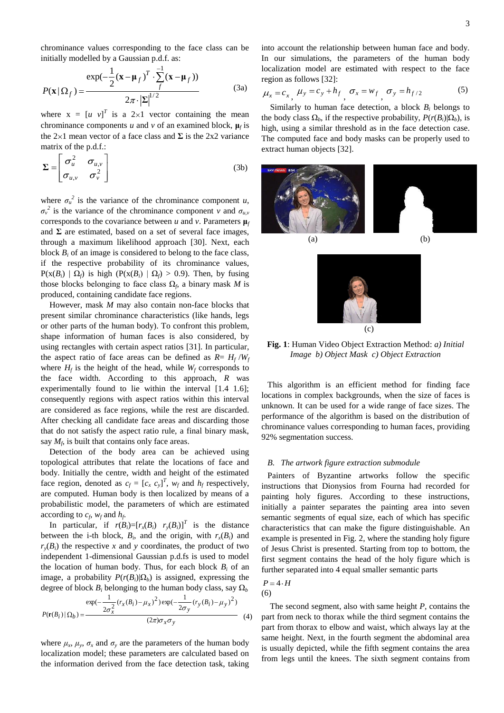chrominance values corresponding to the face class can be initially modelled by a Gaussian p.d.f. as:

$$
P(\mathbf{x} | \Omega_f) = \frac{\exp(-\frac{1}{2}(\mathbf{x} - \boldsymbol{\mu}_f)^T \cdot \sum_f^{-1} (\mathbf{x} - \boldsymbol{\mu}_f))}{2\pi \cdot |\Sigma|^{1/2}}
$$
(3a)

where  $x = [u \ v]^T$  is a 2×1 vector containing the mean chrominance components  $u$  and  $v$  of an examined block,  $\mu_f$  is the  $2 \times 1$  mean vector of a face class and  $\Sigma$  is the 2x2 variance matrix of the p.d.f.:

$$
\Sigma = \begin{bmatrix} \sigma_u^2 & \sigma_{u,v} \\ \sigma_{u,v} & \sigma_v^2 \end{bmatrix}
$$
 (3b)

where  $\sigma_u^2$  is the variance of the chrominance component *u*,  $\sigma_{\nu}^{2}$  is the variance of the chrominance component *v* and  $\sigma_{u,\nu}$ corresponds to the covariance between  $u$  and  $v$ . Parameters  $\mu_f$ and  $\Sigma$  are estimated, based on a set of several face images, through a maximum likelihood approach [\[30\].](#page-8-15) Next, each block  $B_i$  of an image is considered to belong to the face class, if the respective probability of its chrominance values,  $P(x(B_i) | \Omega_f)$  is high  $(P(x(B_i) | \Omega_f) > 0.9)$ . Then, by fusing those blocks belonging to face class  $\Omega_f$ , a binary mask *M* is produced, containing candidate face regions.

However, mask *M* may also contain non-face blocks that present similar chrominance characteristics (like hands, legs or other parts of the human body). To confront this problem, shape information of human faces is also considered, by using rectangles with certain aspect ratios [\[31\].](#page-9-0) In particular, the aspect ratio of face areas can be defined as  $R = H_f/W_f$ where  $H_f$  is the height of the head, while  $W_f$  corresponds to the face width. According to this approach, *R* was experimentally found to lie within the interval [1.4 1.6]; consequently regions with aspect ratios within this interval are considered as face regions, while the rest are discarded. After checking all candidate face areas and discarding those that do not satisfy the aspect ratio rule, a final binary mask, say  $M_f$ , is built that contains only face areas.

Detection of the body area can be achieved using topological attributes that relate the locations of face and body. Initially the centre, width and height of the estimated face region, denoted as  $c_f = [c_x \ c_y]^T$ ,  $w_f$  and  $h_f$  respectively, are computed. Human body is then localized by means of a probabilistic model, the parameters of which are estimated according to  $c_f$ ,  $w_f$  and  $h_f$ .

In particular, if  $r(B_i)=[r_x(B_i) \quad r_y(B_i)]^T$  is the distance between the i-th block,  $B_i$ , and the origin, with  $r_x(B_i)$  and  $r_y(B_i)$  the respective *x* and *y* coordinates, the product of two independent 1-dimensional Gaussian p.d.fs is used to model the location of human body. Thus, for each block  $B_i$  of an image, a probability  $P(r(B_i)|\Omega_b)$  is assigned, expressing the degree of block  $B_i$  belonging to the human body class, say  $\Omega_b$ 

$$
P(\mathbf{r}(B_i) | \Omega_b) = \frac{\exp(-\frac{1}{2\sigma_x^2}(r_x(B_i) - \mu_x)^2)\exp(-\frac{1}{2\sigma_y}(r_y(B_i) - \mu_y)^2)}{(2\pi)\sigma_x\sigma_y}
$$
(4)

where  $\mu_x$ ,  $\mu_y$ ,  $\sigma_x$  and  $\sigma_y$  are the parameters of the human body localization model; these parameters are calculated based on the information derived from the face detection task, taking

into account the relationship between human face and body. In our simulations, the parameters of the human body localization model are estimated with respect to the face region as follows [\[32\]:](#page-9-1)

$$
\mu_x = c_x, \ \mu_y = c_y + h_f, \ \sigma_x = w_f, \ \sigma_y = h_{f/2} \tag{5}
$$

Similarly to human face detection, a block  $B_i$  belongs to the body class  $\Omega_b$ , if the respective probability,  $P(r(B_i)|\Omega_b)$ , is high, using a similar threshold as in the face detection case. The computed face and body masks can be properly used to extract human objects [\[32\].](#page-9-1)





**Fig. 1**: Human Video Object Extraction Method: *a) Initial Image b) Object Mask c) Object Extraction*

This algorithm is an efficient method for finding face locations in complex backgrounds, when the size of faces is unknown. It can be used for a wide range of face sizes. The performance of the algorithm is based on the distribution of chrominance values corresponding to human faces, providing 92% segmentation success.

#### *B. The artwork figure extraction submodule*

Painters of Byzantine artworks follow the specific instructions that Dionysios from Fourna had recorded for painting holy figures. According to these instructions, initially a painter separates the painting area into seven semantic segments of equal size, each of which has specific characteristics that can make the figure distinguishable. An example is presented in Fig. 2, where the standing holy figure of Jesus Christ is presented. Starting from top to bottom, the first segment contains the head of the holy figure which is further separated into 4 equal smaller semantic parts

$$
P = 4 \cdot H
$$
  
(6)

The second segment, also with same height *P*, contains the part from neck to thorax while the third segment contains the part from thorax to elbow and waist, which always lay at the same height. Next, in the fourth segment the abdominal area is usually depicted, while the fifth segment contains the area from legs until the knees. The sixth segment contains from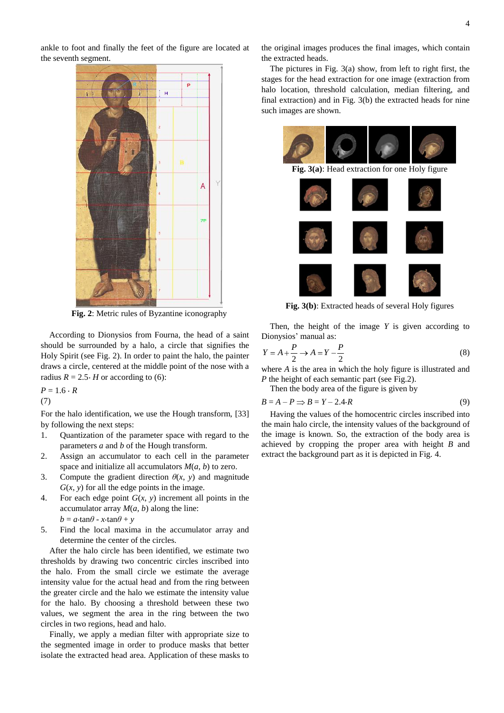ankle to foot and finally the feet of the figure are located at the seventh segment.



**Fig. 2**: Metric rules of Byzantine iconography

According to Dionysios from Fourna, the head of a saint should be surrounded by a halo, a circle that signifies the Holy Spirit (see Fig. 2). In order to paint the halo, the painter draws a circle, centered at the middle point of the nose with a radius  $R = 2.5 \cdot H$  or according to (6):

 $P = 1.6 \cdot R$ 

(7)

For the halo identification, we use the Hough transform, [\[33\]](#page-9-2) by following the next steps:

- 1. Quantization of the parameter space with regard to the parameters *a* and *b* of the Hough transform.
- 2. Assign an accumulator to each cell in the parameter space and initialize all accumulators  $M(a, b)$  to zero.
- 3. Compute the gradient direction  $\theta(x, y)$  and magnitude  $G(x, y)$  for all the edge points in the image.
- 4. For each edge point *G*(*x*, *y*) increment all points in the accumulator array  $M(a, b)$  along the line:  $b = a \cdot \tan\theta - x \cdot \tan\theta + y$
- 5. Find the local maxima in the accumulator array and determine the center of the circles.

After the halo circle has been identified, we estimate two thresholds by drawing two concentric circles inscribed into the halo. From the small circle we estimate the average intensity value for the actual head and from the ring between the greater circle and the halo we estimate the intensity value for the halo. By choosing a threshold between these two values, we segment the area in the ring between the two circles in two regions, head and halo.

Finally, we apply a median filter with appropriate size to the segmented image in order to produce masks that better isolate the extracted head area. Application of these masks to

the original images produces the final images, which contain the extracted heads.

The pictures in Fig. 3(a) show, from left to right first, the stages for the head extraction for one image (extraction from halo location, threshold calculation, median filtering, and final extraction) and in Fig. 3(b) the extracted heads for nine such images are shown.



**Fig. 3(b)**: Extracted heads of several Holy figures

Then, the height of the image *Y* is given according to Dionysios' manual as:

$$
Y = A + \frac{P}{2} \to A = Y - \frac{P}{2}
$$
 (8)

where *A* is the area in which the holy figure is illustrated and *P* the height of each semantic part (see Fig.2).

Then the body area of the figure is given by

$$
B = A - P \Rightarrow B = Y - 2.4 \cdot R \tag{9}
$$

Having the values of the homocentric circles inscribed into the main halo circle, the intensity values of the background of the image is known. So, the extraction of the body area is achieved by cropping the proper area with height *B* and extract the background part as it is depicted in Fig. 4.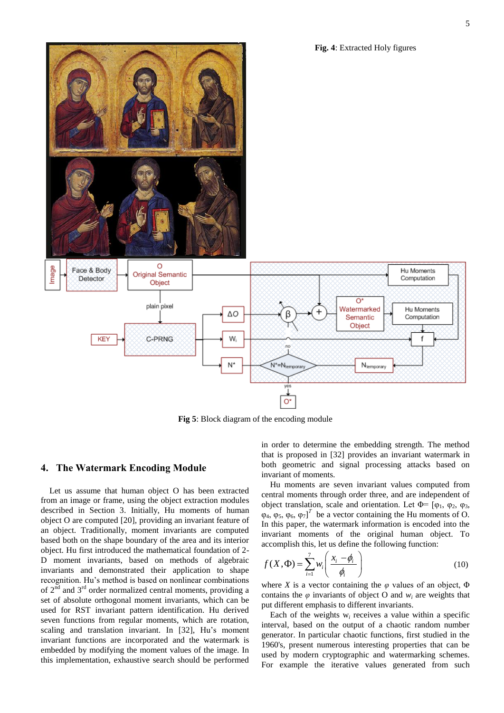**Fig. 4**: Extracted Holy figures



**Fig 5**: Block diagram of the encoding module

## **4. The Watermark Encoding Module**

Let us assume that human object O has been extracted from an image or frame, using the object extraction modules described in Section 3. Initially, Hu moments of human object O are computed [\[20\],](#page-8-7) providing an invariant feature of an object. Traditionally, moment invariants are computed based both on the shape boundary of the area and its interior object. Hu first introduced the mathematical foundation of 2- D moment invariants, based on methods of algebraic invariants and demonstrated their application to shape recognition. Hu's method is based on nonlinear combinations of  $2^{\overline{nd}}$  and  $3^{\overline{rd}}$  order normalized central moments, providing a set of absolute orthogonal moment invariants, which can be used for RST invariant pattern identification. Hu derived seven functions from regular moments, which are rotation, scaling and translation invariant. In [\[32\],](#page-9-1) Hu's moment invariant functions are incorporated and the watermark is embedded by modifying the moment values of the image. In this implementation, exhaustive search should be performed

in order to determine the embedding strength. The method that is proposed in [\[32\]](#page-9-1) provides an invariant watermark in both geometric and signal processing attacks based on invariant of moments.

Hu moments are seven invariant values computed from central moments through order three, and are independent of object translation, scale and orientation. Let  $\Phi$ = [ $\phi$ <sub>1</sub>,  $\phi$ <sub>2</sub>,  $\phi$ <sub>3</sub>,  $\varphi_4$ ,  $\varphi_5$ ,  $\varphi_6$ ,  $\varphi_7$ <sup>T</sup> be a vector containing the Hu moments of O. In this paper, the watermark information is encoded into the invariant moments of the original human object. To accomplish this, let us define the following function:

$$
f(X, \Phi) = \sum_{i=1}^{7} w_i \left( \frac{x_i - \phi_i}{\phi_i} \right)
$$
 (10)

where *X* is a vector containing the  $\varphi$  values of an object,  $\Phi$ contains the  $\varphi$  invariants of object O and  $w_i$  are weights that put different emphasis to different invariants.

Each of the weights  $w_i$  receives a value within a specific interval, based on the output of a chaotic random number generator. In particular chaotic functions, first studied in the 1960's, present numerous interesting properties that can be used by modern cryptographic and watermarking schemes. For example the iterative values generated from such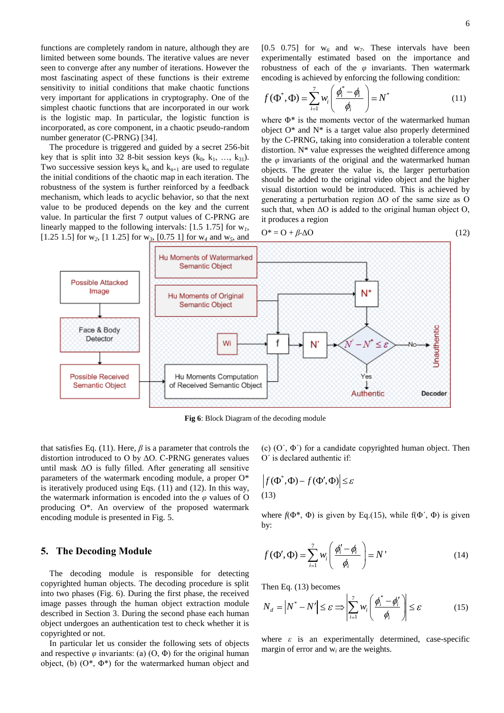functions are completely random in nature, although they are limited between some bounds. The iterative values are never seen to converge after any number of iterations. However the most fascinating aspect of these functions is their extreme sensitivity to initial conditions that make chaotic functions very important for applications in cryptography. One of the simplest chaotic functions that are incorporated in our work is the logistic map. In particular, the logistic function is incorporated, as core component, in a chaotic pseudo-random number generator (C-PRNG) [\[34\].](#page-9-3)

The procedure is triggered and guided by a secret 256-bit key that is split into 32 8-bit session keys  $(k_0, k_1, ..., k_{31})$ . Two successive session keys  $k_n$  and  $k_{n+1}$  are used to regulate the initial conditions of the chaotic map in each iteration. The robustness of the system is further reinforced by a feedback mechanism, which leads to acyclic behavior, so that the next value to be produced depends on the key and the current value. In particular the first 7 output values of C-PRNG are linearly mapped to the following intervals: [1.5 1.75] for w*1*, [1.25 1.5] for w*2*, [1 1.25] for w*3*, [0.75 1] for w*<sup>4</sup>* and w*5*, and

[0.5 0.75] for  $w_6$  and  $w_7$ . These intervals have been experimentally estimated based on the importance and robustness of each of the  $\varphi$  invariants. Then watermark encoding is achieved by enforcing the following condition:

$$
f(\Phi^*, \Phi) = \sum_{i=1}^7 w_i \left( \frac{\phi_i^* - \phi_i}{\phi_i} \right) = N^*
$$
\n(11)

where Φ\* is the moments vector of the watermarked human object O\* and N\* is a target value also properly determined by the C-PRNG, taking into consideration a tolerable content distortion.  $N^*$  value expresses the weighted difference among the  $\varphi$  invariants of the original and the watermarked human objects. The greater the value is, the larger perturbation should be added to the original video object and the higher visual distortion would be introduced. This is achieved by generating a perturbation region ΔΟ of the same size as O such that, when  $\Delta O$  is added to the original human object O, it produces a region

$$
O^* = O + \beta \cdot \Delta O \tag{12}
$$



**Fig 6**: Block Diagram of the decoding module

that satisfies Eq. (11). Here,  $\beta$  is a parameter that controls the distortion introduced to O by ΔΟ. C-PRNG generates values until mask ΔΟ is fully filled. After generating all sensitive parameters of the watermark encoding module, a proper O\* is iteratively produced using Eqs. (11) and (12). In this way, the watermark information is encoded into the *φ* values of O producing O\*. An overview of the proposed watermark encoding module is presented in Fig. 5.

#### **5. The Decoding Module**

The decoding module is responsible for detecting copyrighted human objects. The decoding procedure is split into two phases (Fig. 6). During the first phase, the received image passes through the human object extraction module described in Section 3. During the second phase each human object undergoes an authentication test to check whether it is copyrighted or not.

In particular let us consider the following sets of objects and respective  $\varphi$  invariants: (a) (O,  $\Phi$ ) for the original human object, (b)  $(O^*, \Phi^*)$  for the watermarked human object and

(c)  $(O', \Phi')$  for a candidate copyrighted human object. Then O΄ is declared authentic if:

$$
\left| f(\Phi^*, \Phi) - f(\Phi', \Phi) \right| \le \varepsilon
$$
\n(13)

where  $f(\Phi^*, \Phi)$  is given by Eq.(15), while  $f(\Phi', \Phi)$  is given by:

$$
f(\Phi', \Phi) = \sum_{i=1}^{7} w_i \left( \frac{\phi'_i - \phi_i}{\phi_i} \right) = N' \tag{14}
$$

Then Eq. (13) becomes

Then Eq. (15) becomes  
\n
$$
N_d = |N^* - N'| \le \varepsilon \Longrightarrow \left| \sum_{i=1}^7 w_i \left( \frac{\phi_i^* - \phi_i'}{\phi_i} \right) \right| \le \varepsilon \tag{15}
$$

where  $\varepsilon$  is an experimentally determined, case-specific margin of error and w*<sup>i</sup>* are the weights.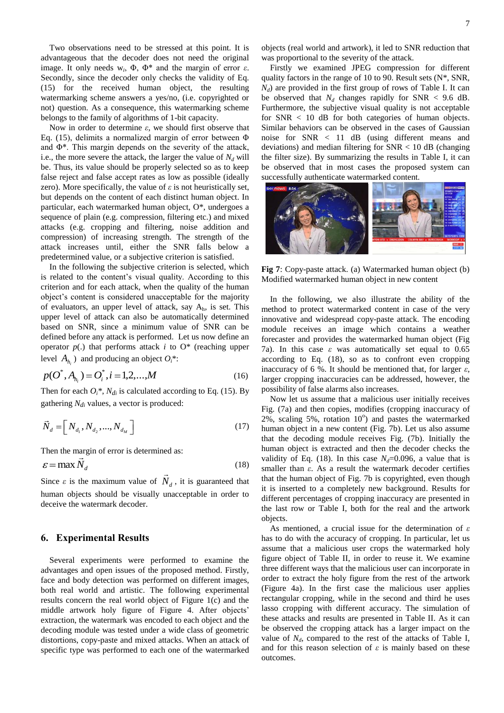Two observations need to be stressed at this point. It is advantageous that the decoder does not need the original image. It only needs  $w_i$ ,  $Φ$ ,  $Φ$ <sup>\*</sup> and the margin of error  $ε$ . Secondly, since the decoder only checks the validity of Eq. (15) for the received human object, the resulting watermarking scheme answers a yes/no, (i.e. copyrighted or not) question. As a consequence, this watermarking scheme belongs to the family of algorithms of 1-bit capacity.

Now in order to determine *ε*, we should first observe that Eq. (15), delimits a normalized margin of error between Φ and Φ\*. This margin depends on the severity of the attack, i.e., the more severe the attack, the larger the value of  $N_d$  will be. Thus, its value should be properly selected so as to keep false reject and false accept rates as low as possible (ideally zero). More specifically, the value of  $\varepsilon$  is not heuristically set, but depends on the content of each distinct human object. In particular, each watermarked human object, O\*, undergoes a sequence of plain (e.g. compression, filtering etc.) and mixed attacks (e.g. cropping and filtering, noise addition and compression) of increasing strength. The strength of the attack increases until, either the SNR falls below a predetermined value, or a subjective criterion is satisfied.

In the following the subjective criterion is selected, which is related to the content's visual quality. According to this criterion and for each attack, when the quality of the human object's content is considered unacceptable for the majority of evaluators, an upper level of attack, say Ah, is set. This upper level of attack can also be automatically determined based on SNR, since a minimum value of SNR can be defined before any attack is performed. Let us now define an operator  $p(.)$  that performs attack *i* to  $O^*$  (reaching upper level  $A_{h_i}$ ) and producing an object  $O_i^*$ :

$$
p(O^*, A_{h_i}) = O_i^*, i = 1, 2, ..., M
$$
 (16)

Then for each  $O_i^*$ ,  $N_{di}$  is calculated according to Eq. (15). By gathering  $N_{di}$  values, a vector is produced:

$$
\vec{N}_d = \left[ N_{d_1}, N_{d_2}, \dots, N_{d_M} \right] \tag{17}
$$

Then the margin of error is determined as:

$$
\varepsilon = \max \tilde{N}_d \tag{18}
$$

Since  $\varepsilon$  is the maximum value of  $N_d$ , it is guaranteed that human objects should be visually unacceptable in order to deceive the watermark decoder.

# **6. Experimental Results**

Several experiments were performed to examine the advantages and open issues of the proposed method. Firstly, face and body detection was performed on different images, both real world and artistic. The following experimental results concern the real world object of Figure 1(c) and the middle artwork holy figure of Figure 4. After objects' extraction, the watermark was encoded to each object and the decoding module was tested under a wide class of geometric distortions, copy-paste and mixed attacks. When an attack of specific type was performed to each one of the watermarked objects (real world and artwork), it led to SNR reduction that was proportional to the severity of the attack.

Firstly we examined JPEG compression for different quality factors in the range of 10 to 90. Result sets (N\*, SNR, *Nd*) are provided in the first group of rows of Table I. It can be observed that  $N_d$  changes rapidly for SNR < 9.6 dB. Furthermore, the subjective visual quality is not acceptable for  $SNR < 10$  dB for both categories of human objects. Similar behaviors can be observed in the cases of Gaussian noise for SNR < 11 dB (using different means and deviations) and median filtering for  $SNR < 10$  dB (changing the filter size). By summarizing the results in Table I, it can be observed that in most cases the proposed system can successfully authenticate watermarked content.



**Fig 7**: Copy-paste attack. (a) Watermarked human object (b) Modified watermarked human object in new content

In the following, we also illustrate the ability of the method to protect watermarked content in case of the very innovative and widespread copy-paste attack. The encoding module receives an image which contains a weather forecaster and provides the watermarked human object (Fig 7a). In this case  $\varepsilon$  was automatically set equal to 0.65 according to Eq. (18), so as to confront even cropping inaccuracy of 6 %. It should be mentioned that, for larger *ε*, larger cropping inaccuracies can be addressed, however, the possibility of false alarms also increases.

Now let us assume that a malicious user initially receives Fig. (7a) and then copies, modifies (cropping inaccuracy of  $2\%$ , scaling 5%, rotation  $10^{\circ}$ ) and pastes the watermarked human object in a new content (Fig. 7b). Let us also assume that the decoding module receives Fig. (7b). Initially the human object is extracted and then the decoder checks the validity of Eq. (18). In this case  $N_d$ =0.096, a value that is smaller than *ε*. As a result the watermark decoder certifies that the human object of Fig. 7b is copyrighted, even though it is inserted to a completely new background. Results for different percentages of cropping inaccuracy are presented in the last row or Table I, both for the real and the artwork objects.

As mentioned, a crucial issue for the determination of *ε* has to do with the accuracy of cropping. In particular, let us assume that a malicious user crops the watermarked holy figure object of Table II, in order to reuse it. We examine three different ways that the malicious user can incorporate in order to extract the holy figure from the rest of the artwork (Figure 4a). In the first case the malicious user applies rectangular cropping, while in the second and third he uses lasso cropping with different accuracy. The simulation of these attacks and results are presented in Table II. As it can be observed the cropping attack has a larger impact on the value of  $N_d$ , compared to the rest of the attacks of Table I, and for this reason selection of  $\varepsilon$  is mainly based on these outcomes.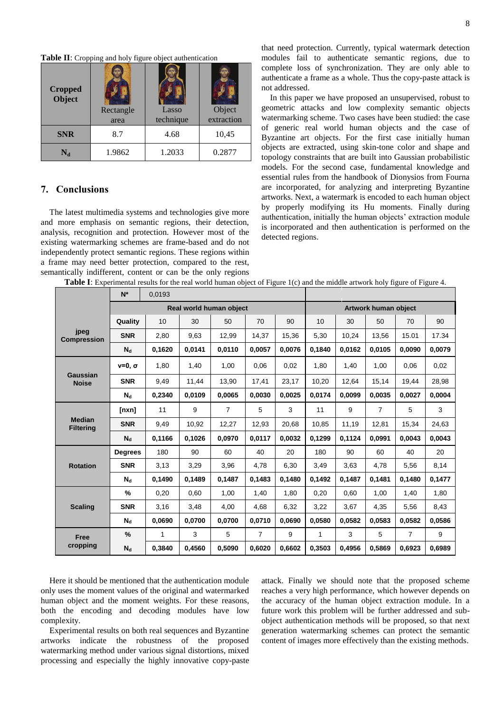**Table II**: Cropping and holy figure object authentication

| <b>Cropped</b><br>Object | Rectangle<br>area | Lasso<br>technique | Object<br>extraction |  |  |
|--------------------------|-------------------|--------------------|----------------------|--|--|
| <b>SNR</b>               | 8.7               | 4.68               | 10,45                |  |  |
| $\rm N_d$                | 1.9862            | 1.2033             | 0.2877               |  |  |

# **7. Conclusions**

The latest multimedia systems and technologies give more and more emphasis on semantic regions, their detection, analysis, recognition and protection. However most of the existing watermarking schemes are frame-based and do not independently protect semantic regions. These regions within a frame may need better protection, compared to the rest, semantically indifferent, content or can be the only regions

that need protection. Currently, typical watermark detection modules fail to authenticate semantic regions, due to complete loss of synchronization. They are only able to authenticate a frame as a whole. Thus the copy-paste attack is not addressed.

In this paper we have proposed an unsupervised, robust to geometric attacks and low complexity semantic objects watermarking scheme. Two cases have been studied: the case of generic real world human objects and the case of Byzantine art objects. For the first case initially human objects are extracted, using skin-tone color and shape and topology constraints that are built into Gaussian probabilistic models. For the second case, fundamental knowledge and essential rules from the handbook of Dionysios from Fourna are incorporated, for analyzing and interpreting Byzantine artworks. Next, a watermark is encoded to each human object by properly modifying its Hu moments. Finally during authentication, initially the human objects' extraction module is incorporated and then authentication is performed on the detected regions.

|  |  |  |  | Table I: Experimental results for the real world human object of Figure 1(c) and the middle artwork holy figure of Figure 4. |  |  |  |  |  |  |  |  |
|--|--|--|--|------------------------------------------------------------------------------------------------------------------------------|--|--|--|--|--|--|--|--|
|--|--|--|--|------------------------------------------------------------------------------------------------------------------------------|--|--|--|--|--|--|--|--|

|                                   | $N^*$                   | 0.0193 |        |                |        |        |                      |        |                |                |        |
|-----------------------------------|-------------------------|--------|--------|----------------|--------|--------|----------------------|--------|----------------|----------------|--------|
|                                   | Real world human object |        |        |                |        |        | Artwork human object |        |                |                |        |
| jpeg<br><b>Compression</b>        | Quality                 | 10     | 30     | 50             | 70     | 90     | 10                   | 30     | 50             | 70             | 90     |
|                                   | <b>SNR</b>              | 2,80   | 9,63   | 12,99          | 14,37  | 15,36  | 5,30                 | 10,24  | 13,56          | 15.01          | 17.34  |
|                                   | $N_d$                   | 0,1620 | 0.0141 | 0,0110         | 0,0057 | 0.0076 | 0.1840               | 0,0162 | 0,0105         | 0.0090         | 0,0079 |
| Gaussian<br><b>Noise</b>          | $v=0$ , $\sigma$        | 1.80   | 1,40   | 1.00           | 0.06   | 0.02   | 1.80                 | 1,40   | 1.00           | 0.06           | 0.02   |
|                                   | <b>SNR</b>              | 9.49   | 11,44  | 13,90          | 17,41  | 23,17  | 10,20                | 12,64  | 15,14          | 19.44          | 28,98  |
|                                   | $N_{\rm d}$             | 0.2340 | 0.0109 | 0.0065         | 0.0030 | 0.0025 | 0.0174               | 0.0099 | 0.0035         | 0.0027         | 0.0004 |
| <b>Median</b><br><b>Filtering</b> | [nxn]                   | 11     | 9      | $\overline{7}$ | 5      | 3      | 11                   | 9      | $\overline{7}$ | 5              | 3      |
|                                   | <b>SNR</b>              | 9,49   | 10,92  | 12,27          | 12,93  | 20.68  | 10,85                | 11,19  | 12,81          | 15,34          | 24,63  |
|                                   | $N_{d}$                 | 0,1166 | 0,1026 | 0.0970         | 0,0117 | 0.0032 | 0,1299               | 0,1124 | 0.0991         | 0.0043         | 0.0043 |
| <b>Rotation</b>                   | <b>Degrees</b>          | 180    | 90     | 60             | 40     | 20     | 180                  | 90     | 60             | 40             | 20     |
|                                   | <b>SNR</b>              | 3,13   | 3,29   | 3,96           | 4,78   | 6,30   | 3,49                 | 3,63   | 4,78           | 5,56           | 8,14   |
|                                   | $N_d$                   | 0.1490 | 0.1489 | 0.1487         | 0.1483 | 0.1480 | 0.1492               | 0.1487 | 0.1481         | 0.1480         | 0.1477 |
| <b>Scaling</b>                    | $\%$                    | 0.20   | 0.60   | 1,00           | 1,40   | 1.80   | 0,20                 | 0.60   | 1,00           | 1,40           | 1,80   |
|                                   | <b>SNR</b>              | 3,16   | 3,48   | 4,00           | 4,68   | 6,32   | 3,22                 | 3,67   | 4,35           | 5,56           | 8,43   |
|                                   | $N_{\rm d}$             | 0.0690 | 0.0700 | 0.0700         | 0.0710 | 0.0690 | 0.0580               | 0,0582 | 0.0583         | 0.0582         | 0,0586 |
| <b>Free</b><br>cropping           | $\frac{9}{6}$           | 1      | 3      | 5              | 7      | 9      | 1                    | 3      | 5              | $\overline{7}$ | 9      |
|                                   | $N_{\rm d}$             | 0.3840 | 0.4560 | 0.5090         | 0.6020 | 0.6602 | 0.3503               | 0.4956 | 0.5869         | 0.6923         | 0.6989 |

Here it should be mentioned that the authentication module only uses the moment values of the original and watermarked human object and the moment weights. For these reasons, both the encoding and decoding modules have low complexity.

Experimental results on both real sequences and Byzantine artworks indicate the robustness of the proposed watermarking method under various signal distortions, mixed processing and especially the highly innovative copy-paste

attack. Finally we should note that the proposed scheme reaches a very high performance, which however depends on the accuracy of the human object extraction module. In a future work this problem will be further addressed and subobject authentication methods will be proposed, so that next generation watermarking schemes can protect the semantic content of images more effectively than the existing methods.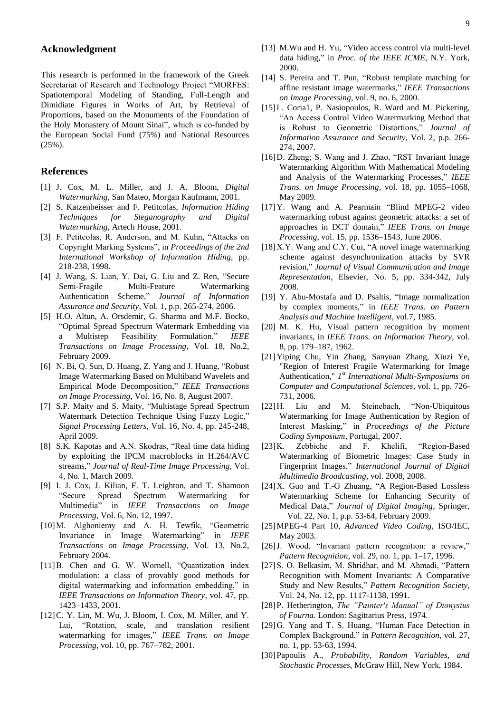#### **Acknowledgment**

This research is performed in the framework of the Greek Secretariat of Research and Technology Project "MORFES: Spatiotemporal Modeling of Standing, Full-Length and Dimidiate Figures in Works of Art, by Retrieval of Proportions, based on the Monuments of the Foundation of the Holy Monastery of Mount Sinai", which is co-funded by the European Social Fund (75%) and National Resources (25%).

#### **References**

- <span id="page-8-0"></span>[1] J. Cox, M. L. Miller, and J. A. Bloom, *Digital Watermarking*, San Mateo, Morgan Kaufmann, 2001.
- [2] S. Katzenbeisser and F. Petitcolas, *Information Hiding Techniques for Steganography and Digital Watermarking*, Artech House, 2001.
- [3] F. Petitcolas, R. Anderson, and M. Kuhn, "Attacks on Copyright Marking Systems", in *Proceedings of the 2nd International Workshop of Information Hiding*, pp. 218-238, 1998.
- [4] J. Wang, S. Lian, Y. Dai, G. Liu and Z. Ren, "Secure Semi-Fragile Multi-Feature Watermarking Authentication Scheme," *Journal of Information Assurance and Security*, Vol. 1, p.p. 265-274, 2006.
- [5] H.O. Altun, A. Orsdemir, G. Sharma and M.F. Bocko, "Optimal Spread Spectrum Watermark Embedding via a Multistep Feasibility Formulation," *IEEE Transactions on Image Processing*, Vol. 18, No.2, February 2009.
- [6] N. Bi, Q. Sun, D. Huang, Z. Yang and J. Huang, "Robust Image Watermarking Based on Multiband Wavelets and Empirical Mode Decomposition," *IEEE Transactions on Image Processing*, Vol. 16, No. 8, August 2007.
- [7] S.P. Maity and S. Maity, "Multistage Spread Spectrum Watermark Detection Technique Using Fuzzy Logic," *Signal Processing Letters*, Vol. 16, No. 4, pp. 245-248, April 2009.
- [8] S.K. Kapotas and A.N. Skodras, "Real time data hiding by exploiting the IPCM macroblocks in H.264/AVC streams," *Journal of Real-Time Image Processing*, Vol. 4, No. 1, March 2009.
- <span id="page-8-2"></span>[9] I. J. Cox, J. Kilian, F. T. Leighton, and T. Shamoon "Secure Spread Spectrum Watermarking for Multimedia" in *IEEE Transactions on Image Processing*, Vol. 6, No. 12, 1997.
- <span id="page-8-3"></span>[10]M. Alghoniemy and A. H. Tewfik, "Geometric Invariance in Image Watermarking" in *IEEE Transactions on Image Processing*, Vol. 13, No.2, February 2004.
- <span id="page-8-1"></span>[11]B. Chen and G. W. Wornell, "Quantization index modulation: a class of provably good methods for digital watermarking and information embedding," in *IEEE Transactions on Information Theory*, vol. 47, pp. 1423–1433, 2001.
- <span id="page-8-4"></span>[12]C. Y. Lin, M. Wu, J. Bloom, I. Cox, M. Miller, and Y. Lui, "Rotation, scale, and translation resilient watermarking for images," *IEEE Trans. on Image Processing*, vol. 10, pp. 767–782, 2001.
- [13] M.Wu and H. Yu, "Video access control via multi-level data hiding," in *Proc. of the IEEE ICME*, N.Y. York, 2000.
- [14] S. Pereira and T. Pun, "Robust template matching for affine resistant image watermarks," *IEEE Transactions on Image Processing*, vol. 9, no. 6, 2000.
- [15]L. Coria1, P. Nasiopoulos, R. Ward and M. Pickering, "An Access Control Video Watermarking Method that is Robust to Geometric Distortions," *Journal of Information Assurance and Security*, Vol. 2, p.p. 266- 274, 2007.
- [16]D. Zheng; S. Wang and J. Zhao, "RST Invariant Image Watermarking Algorithm With Mathematical Modeling and Analysis of the Watermarking Processes," *IEEE Trans. on Image Processing*, vol. 18, pp. 1055–1068, May 2009.
- [17]Y. Wang and A. Pearmain "Blind MPEG-2 video watermarking robust against geometric attacks: a set of approaches in DCT domain," *IEEE Trans. on Image Processing*, vol. 15, pp. 1536–1543, June 2006.
- <span id="page-8-5"></span>[18] X.Y. Wang and C.Y. Cui, "A novel image watermarking scheme against desynchronization attacks by SVR revision," *Journal of Visual Communication and Image Representation*, Elsevier, No. 5, pp. 334-342, July 2008.
- <span id="page-8-6"></span>[19] Y. Abu-Mostafa and D. Psaltis, "Image normalization by complex moments," in *IEEE Trans. on Pattern Analysis and Machine Intelligent*, vol.7, 1985.
- <span id="page-8-7"></span>[20] M. K. Hu, Visual pattern recognition by moment invariants, in *IEEE Trans. on Information Theory*, vol. 8, pp. 179–187, 1962.
- <span id="page-8-8"></span>[21]Yiping Chu, Yin Zhang, Sanyuan Zhang, Xiuzi Ye, "Region of Interest Fragile Watermarking for Image Authentication," *1 st International Multi-Symposiums on Computer and Computational Sciences*, vol. 1, pp. 726- 731, 2006.
- [22]H. Liu and M. Steinebach, "Non-Ubiquitous Watermarking for Image Authentication by Region of Interest Masking," in *Proceedings of the Picture Coding Symposium*, Portugal, 2007.
- [23]K. Zebbiche and F. Khelifi, "Region-Based Watermarking of Biometric Images: Case Study in Fingerprint Images," *International Journal of Digital Multimedia Broadcasting*, vol. 2008, 2008.
- <span id="page-8-9"></span>[24]X. Guo and T.-G Zhuang, "A Region-Based Lossless Watermarking Scheme for Enhancing Security of Medical Data," *Journal of Digital Imaging*, Springer, Vol. 22, No. 1, p.p. 53-64, February 2009.
- <span id="page-8-10"></span>[25]MPEG-4 Part 10, *Advanced Video Coding*, ISO/IEC, May 2003.
- <span id="page-8-11"></span>[26]J. Wood, "Invariant pattern recognition: a review," *Pattern Recognition*, vol. 29, no. 1, pp. 1–17, 1996.
- <span id="page-8-12"></span>[27]S. O. Belkasim, M. Shridhar, and M. Ahmadi, "Pattern Recognition with Moment Invariants: A Comparative Study and New Results," *Pattern Recognition Society*, Vol. 24, No. 12, pp. 1117-1138, 1991.
- <span id="page-8-13"></span>[28]P. Hetherington, *The "Painter's Manual" of Dionysius of Fourna*. London: Sagittarius Press, 1974.
- <span id="page-8-14"></span>[29]G. Yang and T. S. Huang, "Human Face Detection in Complex Background," in *Pattern Recognition*, vol. 27, no. 1, pp. 53-63, 1994.
- <span id="page-8-15"></span>[30]Papoulis A., *Probability, Random Variables, and Stochastic Processes*, McGraw Hill, New York, 1984.